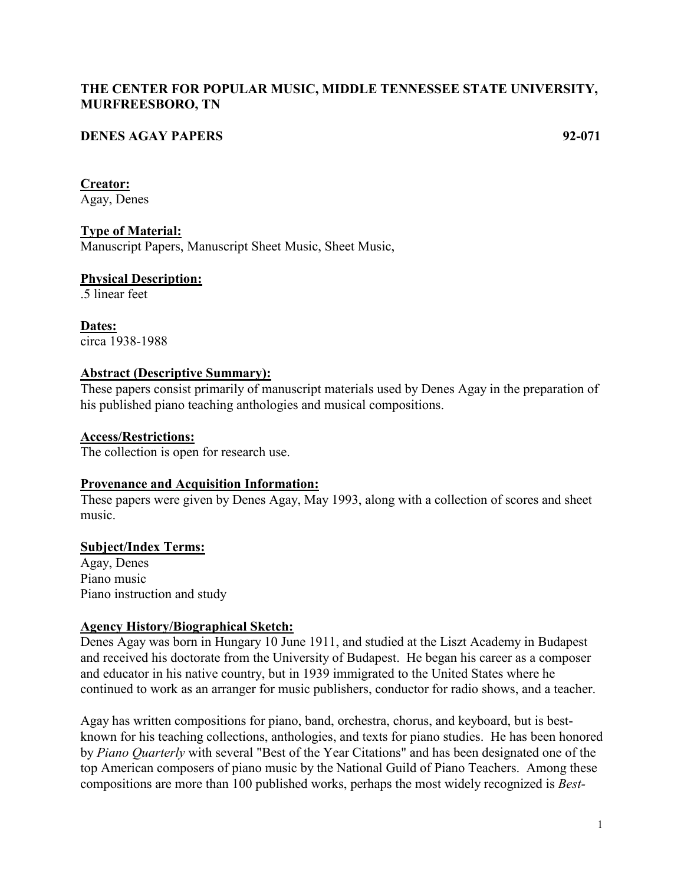## **THE CENTER FOR POPULAR MUSIC, MIDDLE TENNESSEE STATE UNIVERSITY, MURFREESBORO, TN**

## **DENES AGAY PAPERS 92-071**

#### **Creator:**

Agay, Denes

### **Type of Material:**

Manuscript Papers, Manuscript Sheet Music, Sheet Music,

# **Physical Description:**

.5 linear feet

**Dates:** circa 1938-1988

### **Abstract (Descriptive Summary):**

These papers consist primarily of manuscript materials used by Denes Agay in the preparation of his published piano teaching anthologies and musical compositions.

### **Access/Restrictions:**

The collection is open for research use.

### **Provenance and Acquisition Information:**

These papers were given by Denes Agay, May 1993, along with a collection of scores and sheet music.

### **Subject/Index Terms:**

Agay, Denes Piano music Piano instruction and study

### **Agency History/Biographical Sketch:**

Denes Agay was born in Hungary 10 June 1911, and studied at the Liszt Academy in Budapest and received his doctorate from the University of Budapest. He began his career as a composer and educator in his native country, but in 1939 immigrated to the United States where he continued to work as an arranger for music publishers, conductor for radio shows, and a teacher.

Agay has written compositions for piano, band, orchestra, chorus, and keyboard, but is bestknown for his teaching collections, anthologies, and texts for piano studies. He has been honored by *Piano Quarterly* with several "Best of the Year Citations" and has been designated one of the top American composers of piano music by the National Guild of Piano Teachers. Among these compositions are more than 100 published works, perhaps the most widely recognized is *Best-*